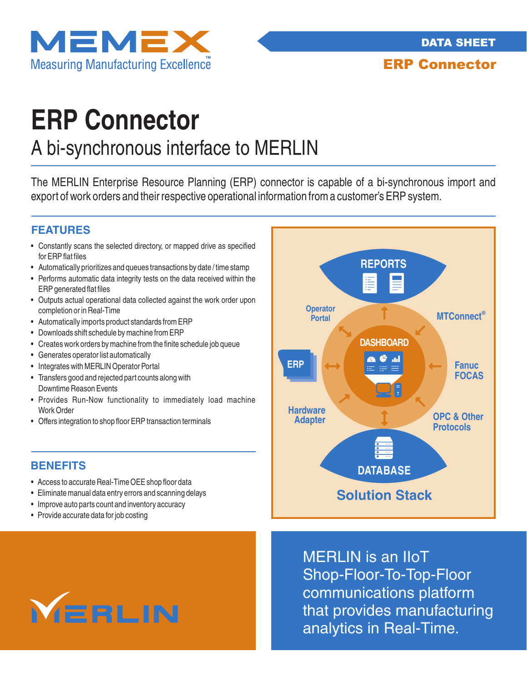



ERP Connector

# **ERP Connector**

## A bi-synchronous interface to MERLIN

The MERLIN Enterprise Resource Planning (ERP) connector is capable of a bi-synchronous import and export of work orders and their respective operational information from a customer's ERP system.

#### **FEATURES**

- Constantly scans the selected directory, or mapped drive as specified for ERP flat files
- Automatically prioritizes and queues transactions by date / time stamp
- Performs automatic data integrity tests on the data received within the ERP generated flat files
- Outputs actual operational data collected against the work order upon completion or in Real-Time
- Automatically imports product standards from ERP
- Downloads shift schedule by machine from ERP
- Creates work orders by machine from the finite schedule job queue
- Generates operator list automatically
- Integrates with MERLIN Operator Portal
- Transfers good and rejected part counts along with Downtime Reason Events
- Provides Run-Now functionality to immediately load machine Work Order
- Offers integration to shop floor ERP transaction terminals

#### **BENEFITS**

- Access to accurate Real-Time OEE shop floor data
- Eliminate manual data entry errors and scanning delays
- Improve auto parts count and inventory accuracy
- Provide accurate data for job costing



MERLIN is an IIoT Shop-Floor-To-Top-Floor communications platform that provides manufacturing analytics in Real-Time.